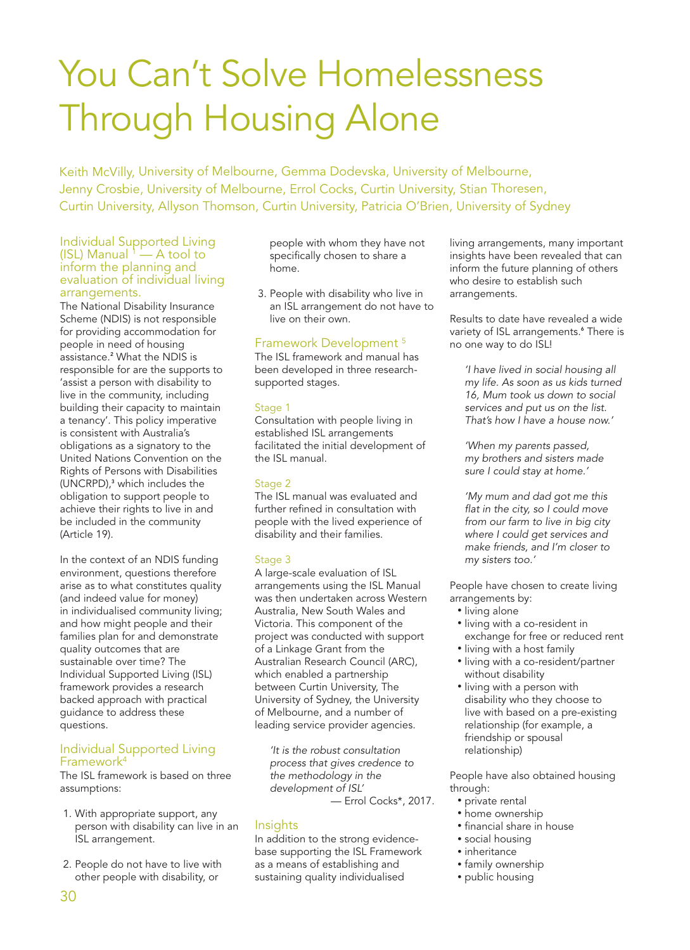# You Can't Solve Homelessness Through Housing Alone

Keith McVilly, University of Melbourne, Gemma Dodevska, University of Melbourne, Jenny Crosbie, University of Melbourne, Errol Cocks, Curtin University, Stian Thoresen, Curtin University, Allyson Thomson, Curtin University, Patricia O'Brien, University of Sydney

#### Individual Supported Living (ISL) Manual  $1 - A$  tool to inform the planning and evaluation of individual living arrangements.

The National Disability Insurance Scheme (NDIS) is not responsible for providing accommodation for people in need of housing assistance.<sup>2</sup> What the NDIS is responsible for are the supports to 'assist a person with disability to live in the community, including building their capacity to maintain a tenancy'. This policy imperative is consistent with Australia's obligations as a signatory to the United Nations Convention on the Rights of Persons with Disabilities (UNCRPD),<sup>3</sup> which includes the obligation to support people to achieve their rights to live in and be included in the community (Article 19).

In the context of an NDIS funding environment, questions therefore arise as to what constitutes quality (and indeed value for money) in individualised community living; and how might people and their families plan for and demonstrate quality outcomes that are sustainable over time? The Individual Supported Living (ISL) framework provides a research backed approach with practical guidance to address these questions.

#### Individual Supported Living Framework4

The ISL framework is based on three assumptions:

- 1. With appropriate support, any person with disability can live in an ISL arrangement.
- 2. People do not have to live with other people with disability, or

people with whom they have not specifically chosen to share a home.

3. People with disability who live in an ISL arrangement do not have to live on their own.

### Framework Development 5

The ISL framework and manual has been developed in three researchsupported stages.

#### Stage 1

Consultation with people living in established ISL arrangements facilitated the initial development of the ISL manual.

#### Stage 2

The ISL manual was evaluated and further refined in consultation with people with the lived experience of disability and their families.

#### Stage 3

A large-scale evaluation of ISL arrangements using the ISL Manual was then undertaken across Western Australia, New South Wales and Victoria. This component of the project was conducted with support of a Linkage Grant from the Australian Research Council (ARC), which enabled a partnership between Curtin University, The University of Sydney, the University of Melbourne, and a number of leading service provider agencies.

'It is the robust consultation process that gives credence to the methodology in the development of ISL'

— Errol Cocks\*, 2017.

## **Insights**

In addition to the strong evidencebase supporting the ISL Framework as a means of establishing and sustaining quality individualised

living arrangements, many important insights have been revealed that can inform the future planning of others who desire to establish such arrangements.

Results to date have revealed a wide variety of ISL arrangements.<sup>6</sup> There is no one way to do ISL!

'I have lived in social housing all my life. As soon as us kids turned 16, Mum took us down to social services and put us on the list. That's how I have a house now.'

'When my parents passed, my brothers and sisters made sure I could stay at home.'

'My mum and dad got me this flat in the city, so I could move from our farm to live in big city where I could get services and make friends, and I'm closer to my sisters too.'

People have chosen to create living arrangements by:

- living alone
- living with a co-resident in exchange for free or reduced rent
- living with a host family
- living with a co-resident/partner without disability
- living with a person with disability who they choose to live with based on a pre-existing relationship (for example, a friendship or spousal relationship)

People have also obtained housing through:

- private rental
- home ownership
- financial share in house
- social housing
- inheritance
- family ownership
- public housing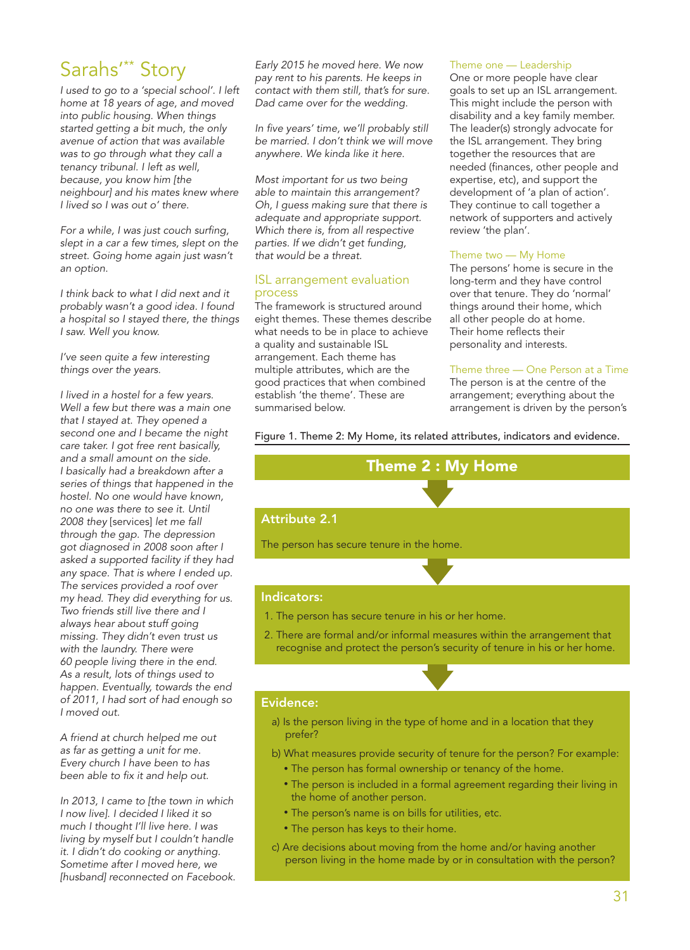# Sarahs'\*\* Story

I used to go to a 'special school'. I left home at 18 years of age, and moved into public housing. When things started getting a bit much, the only avenue of action that was available was to go through what they call a tenancy tribunal. I left as well, because, you know him [the neighbour] and his mates knew where I lived so I was out o' there.

For a while, I was just couch surfing, slept in a car a few times, slept on the street. Going home again just wasn't an option.

I think back to what I did next and it probably wasn't a good idea. I found a hospital so I stayed there, the things I saw. Well you know.

I've seen quite a few interesting things over the years.

I lived in a hostel for a few years. Well a few but there was a main one that I stayed at. They opened a second one and I became the night care taker. I got free rent basically, and a small amount on the side. I basically had a breakdown after a series of things that happened in the hostel. No one would have known, no one was there to see it. Until 2008 they [services] let me fall through the gap. The depression got diagnosed in 2008 soon after I asked a supported facility if they had any space. That is where I ended up. The services provided a roof over my head. They did everything for us. Two friends still live there and I always hear about stuff going missing. They didn't even trust us with the laundry. There were 60 people living there in the end. As a result, lots of things used to happen. Eventually, towards the end of 2011, I had sort of had enough so I moved out.

A friend at church helped me out as far as getting a unit for me. Every church I have been to has been able to fix it and help out.

In 2013, I came to [the town in which I now live]. I decided I liked it so much I thought I'll live here. I was living by myself but I couldn't handle it. I didn't do cooking or anything. Sometime after I moved here, we [husband] reconnected on Facebook. Early 2015 he moved here. We now pay rent to his parents. He keeps in contact with them still, that's for sure. Dad came over for the wedding.

In five years' time, we'll probably still be married. I don't think we will move anywhere. We kinda like it here.

Most important for us two being able to maintain this arrangement? Oh, I guess making sure that there is adequate and appropriate support. Which there is, from all respective parties. If we didn't get funding, that would be a threat.

#### ISL arrangement evaluation process

The framework is structured around eight themes. These themes describe what needs to be in place to achieve a quality and sustainable ISL arrangement. Each theme has multiple attributes, which are the good practices that when combined establish 'the theme'. These are summarised below.

#### Theme one — Leadership

One or more people have clear goals to set up an ISL arrangement. This might include the person with disability and a key family member. The leader(s) strongly advocate for the ISL arrangement. They bring together the resources that are needed (finances, other people and expertise, etc), and support the development of 'a plan of action'. They continue to call together a network of supporters and actively review 'the plan'.

#### Theme two — My Home

The persons' home is secure in the long-term and they have control over that tenure. They do 'normal' things around their home, which all other people do at home. Their home reflects their personality and interests.

#### Theme three — One Person at a Time

The person is at the centre of the arrangement; everything about the arrangement is driven by the person's

Figure 1. Theme 2: My Home, its related attributes, indicators and evidence.



The person has secure tenure in the home.

#### Indicators:

- 1. The person has secure tenure in his or her home.
- 2. There are formal and/or informal measures within the arrangement that recognise and protect the person's security of tenure in his or her home.

#### Evidence:

- a) Is the person living in the type of home and in a location that they prefer?
- b) What measures provide security of tenure for the person? For example:
	- The person has formal ownership or tenancy of the home.
	- The person is included in a formal agreement regarding their living in the home of another person.
	- The person's name is on bills for utilities, etc.
	- The person has keys to their home.
- c) Are decisions about moving from the home and/or having another person living in the home made by or in consultation with the person?